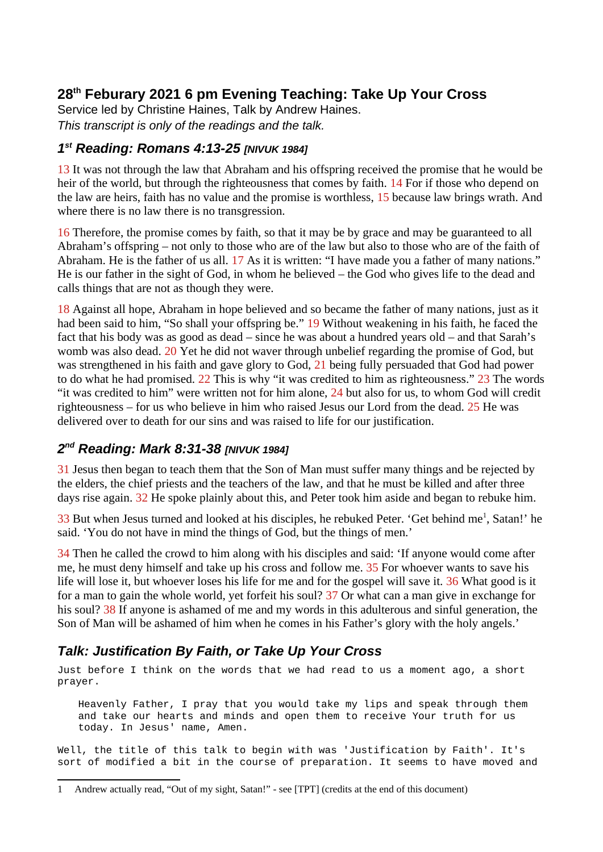# **28th Feburary 2021 6 pm Evening Teaching: Take Up Your Cross**

Service led by Christine Haines, Talk by Andrew Haines. *This transcript is only of the readings and the talk.*

## *1 st Reading: Romans 4:13-25 [NIVUK 1984]*

13 It was not through the law that Abraham and his offspring received the promise that he would be heir of the world, but through the righteousness that comes by faith. 14 For if those who depend on the law are heirs, faith has no value and the promise is worthless, 15 because law brings wrath. And where there is no law there is no transgression.

16 Therefore, the promise comes by faith, so that it may be by grace and may be guaranteed to all Abraham's offspring – not only to those who are of the law but also to those who are of the faith of Abraham. He is the father of us all. 17 As it is written: "I have made you a father of many nations." He is our father in the sight of God, in whom he believed – the God who gives life to the dead and calls things that are not as though they were.

18 Against all hope, Abraham in hope believed and so became the father of many nations, just as it had been said to him, "So shall your offspring be." 19 Without weakening in his faith, he faced the fact that his body was as good as dead – since he was about a hundred years old – and that Sarah's womb was also dead. 20 Yet he did not waver through unbelief regarding the promise of God, but was strengthened in his faith and gave glory to God, 21 being fully persuaded that God had power to do what he had promised. 22 This is why "it was credited to him as righteousness." 23 The words "it was credited to him" were written not for him alone, 24 but also for us, to whom God will credit righteousness – for us who believe in him who raised Jesus our Lord from the dead. 25 He was delivered over to death for our sins and was raised to life for our justification.

## *2 nd Reading: Mark 8:31-38 [NIVUK 1984]*

31 Jesus then began to teach them that the Son of Man must suffer many things and be rejected by the elders, the chief priests and the teachers of the law, and that he must be killed and after three days rise again. 32 He spoke plainly about this, and Peter took him aside and began to rebuke him.

 $33$  But when Jesus turned and looked at his disciples, he rebuked Peter. 'Get behind me<sup>[1](#page-0-0)</sup>, Satan!' he said. 'You do not have in mind the things of God, but the things of men.'

34 Then he called the crowd to him along with his disciples and said: 'If anyone would come after me, he must deny himself and take up his cross and follow me. 35 For whoever wants to save his life will lose it, but whoever loses his life for me and for the gospel will save it. 36 What good is it for a man to gain the whole world, yet forfeit his soul? 37 Or what can a man give in exchange for his soul? 38 If anyone is ashamed of me and my words in this adulterous and sinful generation, the Son of Man will be ashamed of him when he comes in his Father's glory with the holy angels.'

# *Talk: Justification By Faith, or Take Up Your Cross*

Just before I think on the words that we had read to us a moment ago, a short prayer.

Heavenly Father, I pray that you would take my lips and speak through them and take our hearts and minds and open them to receive Your truth for us today. In Jesus' name, Amen.

Well, the title of this talk to begin with was 'Justification by Faith'. It's sort of modified a bit in the course of preparation. It seems to have moved and

<span id="page-0-0"></span><sup>1</sup> Andrew actually read, "Out of my sight, Satan!" - see [TPT] (credits at the end of this document)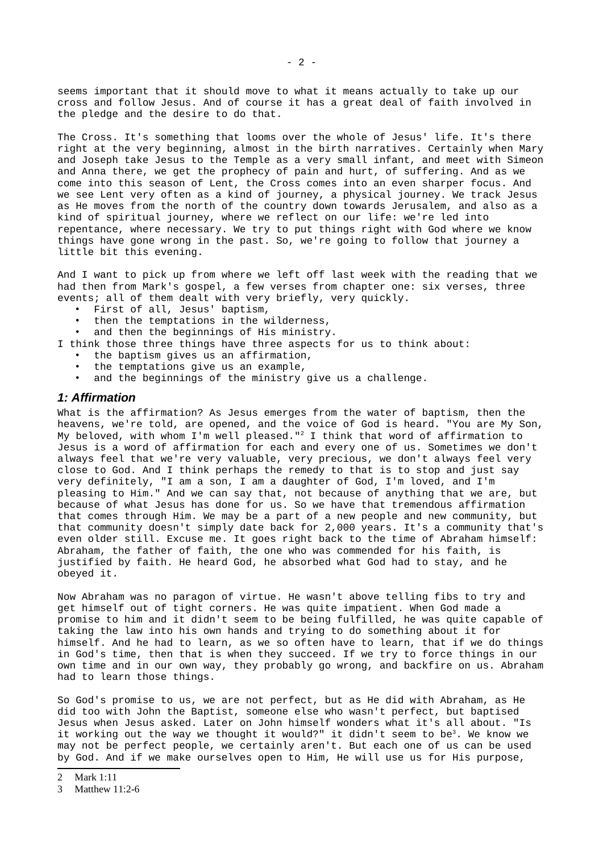seems important that it should move to what it means actually to take up our cross and follow Jesus. And of course it has a great deal of faith involved in the pledge and the desire to do that.

The Cross. It's something that looms over the whole of Jesus' life. It's there right at the very beginning, almost in the birth narratives. Certainly when Mary and Joseph take Jesus to the Temple as a very small infant, and meet with Simeon and Anna there, we get the prophecy of pain and hurt, of suffering. And as we come into this season of Lent, the Cross comes into an even sharper focus. And we see Lent very often as a kind of journey, a physical journey. We track Jesus as He moves from the north of the country down towards Jerusalem, and also as a kind of spiritual journey, where we reflect on our life: we're led into repentance, where necessary. We try to put things right with God where we know things have gone wrong in the past. So, we're going to follow that journey a little bit this evening.

And I want to pick up from where we left off last week with the reading that we had then from Mark's gospel, a few verses from chapter one: six verses, three events; all of them dealt with very briefly, very quickly.

- First of all, Jesus' baptism,
- then the temptations in the wilderness,
- and then the beginnings of His ministry.

I think those three things have three aspects for us to think about:

- the baptism gives us an affirmation,
- the temptations give us an example,
- and the beginnings of the ministry give us a challenge.

#### *1: Affirmation*

What is the affirmation? As Jesus emerges from the water of baptism, then the heavens, we're told, are opened, and the voice of God is heard. "You are My Son, My beloved, with whom I'm well pleased."[2](#page-1-0) I think that word of affirmation to Jesus is a word of affirmation for each and every one of us. Sometimes we don't always feel that we're very valuable, very precious, we don't always feel very close to God. And I think perhaps the remedy to that is to stop and just say very definitely, "I am a son, I am a daughter of God, I'm loved, and I'm pleasing to Him." And we can say that, not because of anything that we are, but because of what Jesus has done for us. So we have that tremendous affirmation that comes through Him. We may be a part of a new people and new community, but that community doesn't simply date back for 2,000 years. It's a community that's even older still. Excuse me. It goes right back to the time of Abraham himself: Abraham, the father of faith, the one who was commended for his faith, is justified by faith. He heard God, he absorbed what God had to stay, and he obeyed it.

Now Abraham was no paragon of virtue. He wasn't above telling fibs to try and get himself out of tight corners. He was quite impatient. When God made a promise to him and it didn't seem to be being fulfilled, he was quite capable of taking the law into his own hands and trying to do something about it for himself. And he had to learn, as we so often have to learn, that if we do things in God's time, then that is when they succeed. If we try to force things in our own time and in our own way, they probably go wrong, and backfire on us. Abraham had to learn those things.

So God's promise to us, we are not perfect, but as He did with Abraham, as He did too with John the Baptist, someone else who wasn't perfect, but baptised Jesus when Jesus asked. Later on John himself wonders what it's all about. "Is it working out the way we thought it would?" it didn't seem to be[3](#page-1-1). We know we may not be perfect people, we certainly aren't. But each one of us can be used by God. And if we make ourselves open to Him, He will use us for His purpose,

<span id="page-1-0"></span><sup>2</sup> Mark 1:11

<span id="page-1-1"></span><sup>3</sup> Matthew 11:2-6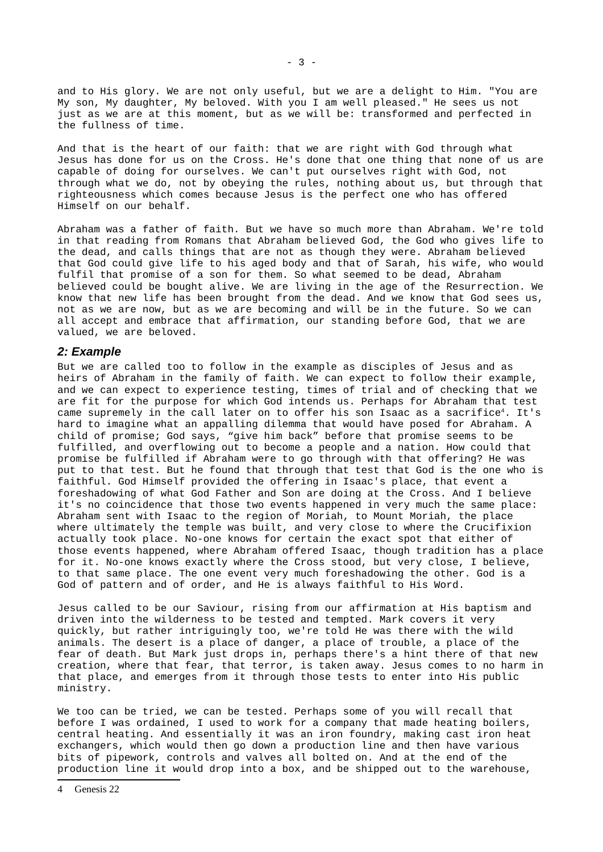and to His glory. We are not only useful, but we are a delight to Him. "You are My son, My daughter, My beloved. With you I am well pleased." He sees us not just as we are at this moment, but as we will be: transformed and perfected in the fullness of time.

And that is the heart of our faith: that we are right with God through what Jesus has done for us on the Cross. He's done that one thing that none of us are capable of doing for ourselves. We can't put ourselves right with God, not through what we do, not by obeying the rules, nothing about us, but through that righteousness which comes because Jesus is the perfect one who has offered Himself on our behalf.

Abraham was a father of faith. But we have so much more than Abraham. We're told in that reading from Romans that Abraham believed God, the God who gives life to the dead, and calls things that are not as though they were. Abraham believed that God could give life to his aged body and that of Sarah, his wife, who would fulfil that promise of a son for them. So what seemed to be dead, Abraham believed could be bought alive. We are living in the age of the Resurrection. We know that new life has been brought from the dead. And we know that God sees us, not as we are now, but as we are becoming and will be in the future. So we can all accept and embrace that affirmation, our standing before God, that we are valued, we are beloved.

#### *2: Example*

But we are called too to follow in the example as disciples of Jesus and as heirs of Abraham in the family of faith. We can expect to follow their example, and we can expect to experience testing, times of trial and of checking that we are fit for the purpose for which God intends us. Perhaps for Abraham that test came supremely in the call later on to offer his son Isaac as a sacrifice<sup>[4](#page-2-0)</sup>. It's hard to imagine what an appalling dilemma that would have posed for Abraham. A child of promise; God says, "give him back" before that promise seems to be fulfilled, and overflowing out to become a people and a nation. How could that promise be fulfilled if Abraham were to go through with that offering? He was put to that test. But he found that through that test that God is the one who is faithful. God Himself provided the offering in Isaac's place, that event a foreshadowing of what God Father and Son are doing at the Cross. And I believe it's no coincidence that those two events happened in very much the same place: Abraham sent with Isaac to the region of Moriah, to Mount Moriah, the place where ultimately the temple was built, and very close to where the Crucifixion actually took place. No-one knows for certain the exact spot that either of those events happened, where Abraham offered Isaac, though tradition has a place for it. No-one knows exactly where the Cross stood, but very close, I believe, to that same place. The one event very much foreshadowing the other. God is a God of pattern and of order, and He is always faithful to His Word.

Jesus called to be our Saviour, rising from our affirmation at His baptism and driven into the wilderness to be tested and tempted. Mark covers it very quickly, but rather intriguingly too, we're told He was there with the wild animals. The desert is a place of danger, a place of trouble, a place of the fear of death. But Mark just drops in, perhaps there's a hint there of that new creation, where that fear, that terror, is taken away. Jesus comes to no harm in that place, and emerges from it through those tests to enter into His public ministry.

We too can be tried, we can be tested. Perhaps some of you will recall that before I was ordained, I used to work for a company that made heating boilers, central heating. And essentially it was an iron foundry, making cast iron heat exchangers, which would then go down a production line and then have various bits of pipework, controls and valves all bolted on. And at the end of the production line it would drop into a box, and be shipped out to the warehouse,

<span id="page-2-0"></span><sup>4</sup> Genesis 22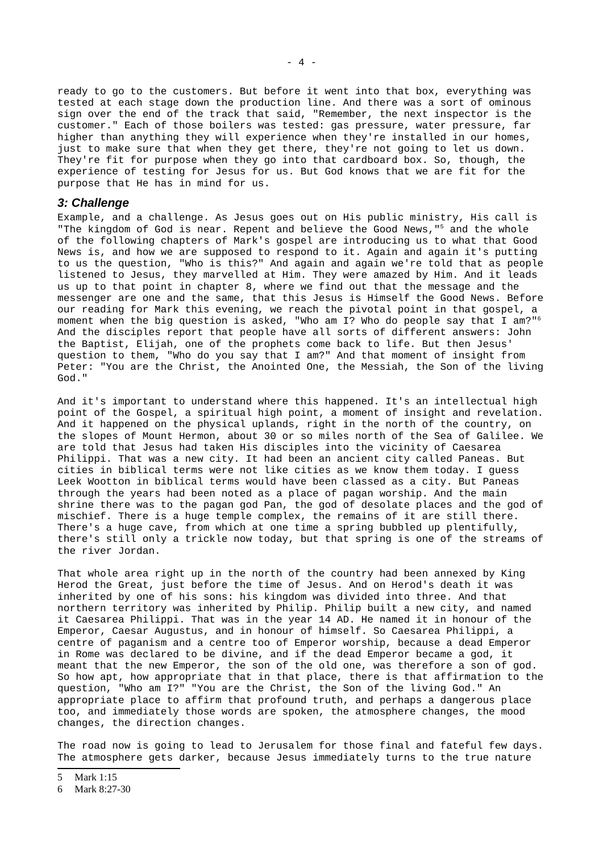ready to go to the customers. But before it went into that box, everything was tested at each stage down the production line. And there was a sort of ominous sign over the end of the track that said, "Remember, the next inspector is the customer." Each of those boilers was tested: gas pressure, water pressure, far higher than anything they will experience when they're installed in our homes, just to make sure that when they get there, they're not going to let us down. They're fit for purpose when they go into that cardboard box. So, though, the experience of testing for Jesus for us. But God knows that we are fit for the purpose that He has in mind for us.

### *3: Challenge*

Example, and a challenge. As Jesus goes out on His public ministry, His call is "The kingdom of God is near. Repent and believe the Good News,"[5](#page-3-0) and the whole of the following chapters of Mark's gospel are introducing us to what that Good News is, and how we are supposed to respond to it. Again and again it's putting to us the question, "Who is this?" And again and again we're told that as people listened to Jesus, they marvelled at Him. They were amazed by Him. And it leads us up to that point in chapter 8, where we find out that the message and the messenger are one and the same, that this Jesus is Himself the Good News. Before our reading for Mark this evening, we reach the pivotal point in that gospel, a moment when the big question is asked, "Who am I? Who do people say that I am?"[6](#page-3-1) And the disciples report that people have all sorts of different answers: John the Baptist, Elijah, one of the prophets come back to life. But then Jesus' question to them, "Who do you say that I am?" And that moment of insight from Peter: "You are the Christ, the Anointed One, the Messiah, the Son of the living God."

And it's important to understand where this happened. It's an intellectual high point of the Gospel, a spiritual high point, a moment of insight and revelation. And it happened on the physical uplands, right in the north of the country, on the slopes of Mount Hermon, about 30 or so miles north of the Sea of Galilee. We are told that Jesus had taken His disciples into the vicinity of Caesarea Philippi. That was a new city. It had been an ancient city called Paneas. But cities in biblical terms were not like cities as we know them today. I guess Leek Wootton in biblical terms would have been classed as a city. But Paneas through the years had been noted as a place of pagan worship. And the main shrine there was to the pagan god Pan, the god of desolate places and the god of mischief. There is a huge temple complex, the remains of it are still there. There's a huge cave, from which at one time a spring bubbled up plentifully, there's still only a trickle now today, but that spring is one of the streams of the river Jordan.

That whole area right up in the north of the country had been annexed by King Herod the Great, just before the time of Jesus. And on Herod's death it was inherited by one of his sons: his kingdom was divided into three. And that northern territory was inherited by Philip. Philip built a new city, and named it Caesarea Philippi. That was in the year 14 AD. He named it in honour of the Emperor, Caesar Augustus, and in honour of himself. So Caesarea Philippi, a centre of paganism and a centre too of Emperor worship, because a dead Emperor in Rome was declared to be divine, and if the dead Emperor became a god, it meant that the new Emperor, the son of the old one, was therefore a son of god. So how apt, how appropriate that in that place, there is that affirmation to the question, "Who am I?" "You are the Christ, the Son of the living God." An appropriate place to affirm that profound truth, and perhaps a dangerous place too, and immediately those words are spoken, the atmosphere changes, the mood changes, the direction changes.

The road now is going to lead to Jerusalem for those final and fateful few days. The atmosphere gets darker, because Jesus immediately turns to the true nature

<span id="page-3-0"></span><sup>5</sup> Mark 1:15

<span id="page-3-1"></span><sup>6</sup> Mark 8:27-30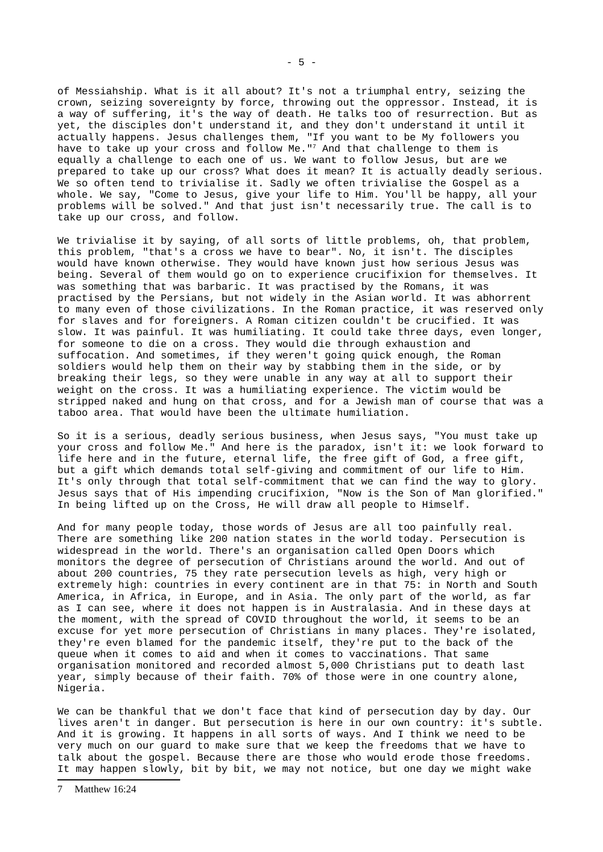of Messiahship. What is it all about? It's not a triumphal entry, seizing the crown, seizing sovereignty by force, throwing out the oppressor. Instead, it is a way of suffering, it's the way of death. He talks too of resurrection. But as yet, the disciples don't understand it, and they don't understand it until it actually happens. Jesus challenges them, "If you want to be My followers you have to take up your cross and follow Me."<sup>[7](#page-4-0)</sup> And that challenge to them is equally a challenge to each one of us. We want to follow Jesus, but are we prepared to take up our cross? What does it mean? It is actually deadly serious. We so often tend to trivialise it. Sadly we often trivialise the Gospel as a whole. We say, "Come to Jesus, give your life to Him. You'll be happy, all your problems will be solved." And that just isn't necessarily true. The call is to take up our cross, and follow.

We trivialise it by saying, of all sorts of little problems, oh, that problem, this problem, "that's a cross we have to bear". No, it isn't. The disciples would have known otherwise. They would have known just how serious Jesus was being. Several of them would go on to experience crucifixion for themselves. It was something that was barbaric. It was practised by the Romans, it was practised by the Persians, but not widely in the Asian world. It was abhorrent to many even of those civilizations. In the Roman practice, it was reserved only for slaves and for foreigners. A Roman citizen couldn't be crucified. It was slow. It was painful. It was humiliating. It could take three days, even longer, for someone to die on a cross. They would die through exhaustion and suffocation. And sometimes, if they weren't going quick enough, the Roman soldiers would help them on their way by stabbing them in the side, or by breaking their legs, so they were unable in any way at all to support their weight on the cross. It was a humiliating experience. The victim would be stripped naked and hung on that cross, and for a Jewish man of course that was a taboo area. That would have been the ultimate humiliation.

So it is a serious, deadly serious business, when Jesus says, "You must take up your cross and follow Me." And here is the paradox, isn't it: we look forward to life here and in the future, eternal life, the free gift of God, a free gift, but a gift which demands total self-giving and commitment of our life to Him. It's only through that total self-commitment that we can find the way to glory. Jesus says that of His impending crucifixion, "Now is the Son of Man glorified." In being lifted up on the Cross, He will draw all people to Himself.

And for many people today, those words of Jesus are all too painfully real. There are something like 200 nation states in the world today. Persecution is widespread in the world. There's an organisation called Open Doors which monitors the degree of persecution of Christians around the world. And out of about 200 countries, 75 they rate persecution levels as high, very high or extremely high: countries in every continent are in that 75: in North and South America, in Africa, in Europe, and in Asia. The only part of the world, as far as I can see, where it does not happen is in Australasia. And in these days at the moment, with the spread of COVID throughout the world, it seems to be an excuse for yet more persecution of Christians in many places. They're isolated, they're even blamed for the pandemic itself, they're put to the back of the queue when it comes to aid and when it comes to vaccinations. That same organisation monitored and recorded almost 5,000 Christians put to death last year, simply because of their faith. 70% of those were in one country alone, Nigeria.

We can be thankful that we don't face that kind of persecution day by day. Our lives aren't in danger. But persecution is here in our own country: it's subtle. And it is growing. It happens in all sorts of ways. And I think we need to be very much on our guard to make sure that we keep the freedoms that we have to talk about the gospel. Because there are those who would erode those freedoms. It may happen slowly, bit by bit, we may not notice, but one day we might wake

<span id="page-4-0"></span><sup>7</sup> Matthew 16:24